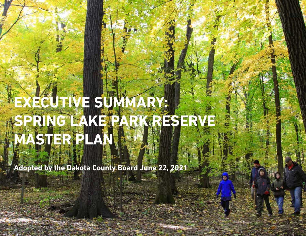# **EXECUTIVE SUMMARY: SPRING LAKE PARK RESERVE MASTER PLAN**

**Adopted by the Dakota County Board June 22, 2021**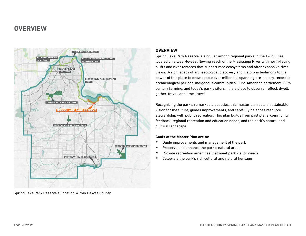# **OVERVIEW**



Spring Lake Park Reserve's Location Within Dakota County

## **OVERVIEW**

Spring Lake Park Reserve is singular among regional parks in the Twin Cities, located on a west-to-east flowing reach of the Mississippi River with north-facing bluffs and river terraces that support rare ecosystems and offer expansive river views. A rich legacy of archaeological discovery and history is testimony to the power of this place to draw people over millennia, spanning pre-history, recorded archaeological periods, Indigenous communities, Euro-American settlement, 20th century farming, and today's park visitors. It is a place to observe, reflect, dwell, gather, travel, and time-travel.

Recognizing the park's remarkable qualities, this master plan sets an attainable vision for the future, guides improvements, and carefully balances resource stewardship with public recreation. This plan builds from past plans, community feedback, regional recreation and education needs, and the park's natural and cultural landscape.

#### **Goals of the Master Plan are to:**

- Guide improvements and management of the park
- Preserve and enhance the park's natural areas
- Provide recreation amenities that meet park visitor needs
- Celebrate the park's rich cultural and natural heritage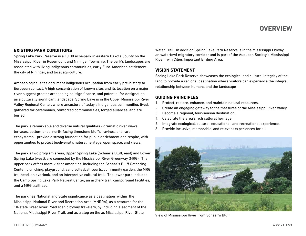## **OVERVIEW**

## **EXISTING PARK CONDITIONS**

Spring Lake Park Reserve is a 1,100 acre-park in eastern Dakota County on the Mississippi River in Rosemount and Nininger Township. The park's landscapes are associated with living Indigenous communities, early Euro-American settlement, the city of Nininger, and local agriculture.

Archaeological sites document Indigenous occupation from early pre-history to European contact. A high concentration of known sites and its location on a major river suggest greater archaeological significance, and potential for designation as a culturally significant landscape. Spring Lake is in the Upper Mississippi River Valley Regional Center, where ancestors of today's Indigenous communities lived, gathered for ceremonies, reinforced communal ties, forged alliances, and are buried.

The park's remarkable and diverse natural qualities - dramatic river views, terraces, bottomlands, north-facing limestone bluffs, ravines, and rare ecosystems - provide a strong foundation for public enrichment and respite, with opportunities to protect biodiversity, natural heritage, open space, and views.

The park's two program areas, Upper Spring Lake (Schaar's Bluff, east) and Lower Spring Lake (west), are connected by the Mississippi River Greenway (MRG). The upper park offers more visitor amenities, including the Schaar's Bluff Gathering Center, picnicking, playground, sand volleyball courts, community garden, the MRG trailhead, an overlook, and an interpretive cultural trail. The lower park includes the Camp Spring Lake Park Retreat Center, an archery trail, campground facilities, and a MRG trailhead.

The park has National and State significance as a destination within the Mississippi National River and Recreation Area (MNRRA), as a resource for the 10-state Great River Road scenic byway travelers, by including a segment of the National Mississippi River Trail, and as a stop on the as Mississippi River State

Water Trail. In addition Spring Lake Park Reserve is in the Mississippi Flyway, an waterfowl migratory corridor and is part of the Audubon Society's Mississippi River Twin Cities Important Birding Area.

## **VISION STATEMENT**

Spring Lake Park Reserve showcases the ecological and cultural integrity of the land to provide a regional destination where visitors can experience the integral relationship between humans and the landscape

#### **GUIDING PRINCIPLES**

- 1. Protect, restore, enhance, and maintain natural resources.
- 2. Create an engaging gateway to the treasures of the Mississippi River Valley.
- 3. Become a regional, four-season destination.
- 4. Celebrate the area's rich cultural heritage.
- 5. Integrate ecological, cultural, educational, and recreational experience.
- 6. Provide inclusive, memorable, and relevant experiences for all



View of Mississippi River from Schaar's Bluff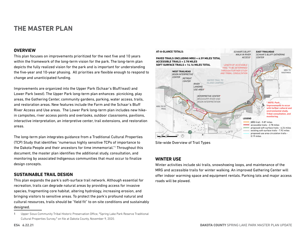# **THE MASTER PLAN**

#### **OVERVIEW**

This plan focuses on improvements prioritized for the next five and 10 years within the framework of the long-term vision for the park. The long-term plan depicts the fully realized vision for the park and is important for understanding the five-year and 10-year phasing. All priorities are flexible enough to respond to change and unanticipated funding.

Improvements are organized into the Upper Park (Schaar's Bluff/east) and Lower Park (west). The Upper Park long-term plan enhances picnicking, play areas, the Gathering Center, community gardens, parking, water access, trails, and restoration areas. New features include the Farm and the Schaar's Bluff River Access and Use areas. The Lower Park long-term plan includes new hikein campsites, river access points and overlooks, outdoor classrooms, pavilions, interactive interpretation, an interpretive center, trail extensions, and restoration areas.

The long-term plan integrates guidance from a Traditional Cultural Properties (TCP) Study that identifies "numerous highly sensitive TCPs of importance to the Dakota People and their ancestors for time immemorial."1 Throughout this document, the master plan identifies the additional study, consultation, and monitoring by associated Indigenous communities that must occur to finalize design concepts.

## **SUSTAINABLE TRAIL DESIGN**

This plan expands the park's soft-surface trail network. Although essential for recreation, trails can degrade natural areas by providing access for invasive species, fragmenting core habitat, altering hydrology, increasing erosion, and bringing visitors to sensitive areas. To protect the park's profound natural and cultural resources, trails should be "field fit" to on-site conditions and sustainably designed.



Site-wide Overview of Trail Types

#### **WINTER USE**

Winter activities include ski trails, snowshoeing loops, and maintenance of the MRG and accessible trails for winter walking. An improved Gathering Center will offer indoor warming space and equipment rentals. Parking lots and major access roads will be plowed.

<sup>1</sup> Upper Sioux Community Tribal Historic Preservation Office, "Spring Lake Park Reserve Traditional Cultural Properties Survey," on file at Dakota County, November 9, 2020.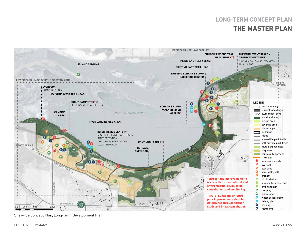# **THE MASTER PLAN LONG-TERM CONCEPT PLAN**



Site-wide Concept Plan, Long-Term Development Plan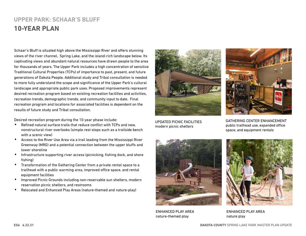# **UPPER PARK: SCHAAR'S BLUFF 10-YEAR PLAN**

Schaar's Bluff is situated high above the Mississippi River and offers stunning views of the river channel, Spring Lake, and the island-rich landscape below. Its captivating views and abundant natural resources have drawn people to the area for thousands of years. The Upper Park includes a high concentration of sensitive Traditional Cultural Properties (TCPs) of importance to past, present, and future generations of Dakota People. Additional study and Tribal consultation is needed to more fully understand the scope and significance of the Upper Park's cultural landscape and appropriate public park uses. Proposed improvements represent desired recreation program based on existing recreation facilities and activities, recreation trends, demographic trends, and community input to date. Final recreation program and locations for associated facilities is dependent on the results of future study and Tribal consultation.

Desired recreation program during the 10-year phase include:

- Refined natural surface trails that reduce conflict with TCPs and new, nonstructural river overlooks (simple rest stops such as a trailside bench with a scenic view)
- Access to the River Use Area via a trail leading from the Mississippi River Greenway (MRG) and a potential connection between the upper bluffs and lower shoreline
- Infrastructure supporting river access (picnicking, fishing dock, and shore fishing)
- Transformation of the Gathering Center from a private rental space to a trailhead with a public warming area, improved office space, and rental equipment facilities
- Improved Picnic Grounds including non-reservable sun shelters, modern reservation picnic shelters, and restrooms
- Relocated and Enhanced Play Areas (nature-themed and nature-play)



UPDATED PICNIC FACILITIES modern picnic shelters



GATHERING CENTER ENHANCEMENT public trailhead use, expanded office space, and equipment rentals



ENHANCED PLAY AREA nature-themed play



ENHANCED PLAY AREA nature play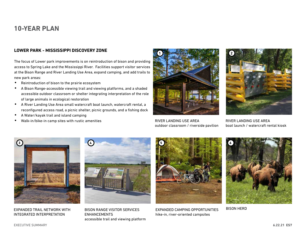# **10-YEAR PLAN**

#### **LOWER PARK - MISSISSIPPI DISCOVERY ZONE**

The focus of Lower park improvements is on reintroduction of bison and providing access to Spring Lake and the Mississippi River. Facilities support visitor services at the Bison Range and River Landing Use Area, expand camping, and add trails to new park areas:

- Reintroduction of bison to the prairie ecosystem
- A Bison Range-accessible viewing trail and viewing platforms, and a shaded accessible outdoor classroom or shelter integrating interpretation of the role of large animals in ecological restoration
- A River Landing Use Area small watercraft boat launch, watercraft rental, a reconfigured access road, a picnic shelter, picnic grounds, and a fishing dock
- A Water/kayak trail and island camping
- Walk-in/bike-in camp sites with rustic amenities



RIVER LANDING USE AREA outdoor classroom / riverside pavilion



RIVER LANDING USE AREA boat launch / watercraft rental kiosk



EXPANDED TRAIL NETWORK WITH INTEGRATED INTERPRETATION



BISON RANGE VISITOR SERVICES ENHANCEMENTS accessible trail and viewing platform



EXPANDED CAMPING OPPORTUNITIES hike-in, river-oriented campsites



BISON HERD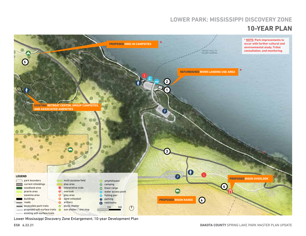## **10-YEAR PLAN LOWER PARK: MISSISSIPPI DISCOVERY ZONE**



Lower Mississippi Discovery Zone Enlargement, 10-year Development Plan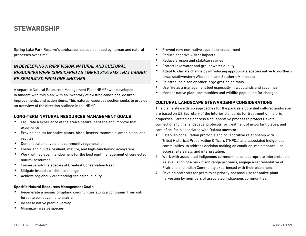# **STEWARDSHIP**

Spring Lake Park Reserve's landscape has been shaped by human and natural processes over time.

## *IN DEVELOPING A PARK VISION, NATURAL AND CULTURAL RESOURCES WERE CONSIDERED AS LINKED SYSTEMS THAT CANNOT BE SEPARATED FROM ONE ANOTHER.*

A separate Natural Resources Management Plan (NRMP) was developed in tandem with this plan, with an inventory of existing conditions, desired improvements, and action items. This natural resources section seeks to provide an overview of the direction outlined in the NRMP

#### **LONG-TERM NATURAL RESOURCES MANAGEMENT GOALS**

- Facilitate a experience of the area's natural heritage and improve that experience
- Provide habitat for native plants, birds, insects, mammals, amphibians, and reptiles
- Demonstrate native plant community regeneration
- Foster and build a resilient, mature, and high-functioning ecosystem
- Work with adjacent landowners for the best joint management of connected natural resources
- Conserve wildlife species of Greatest Conservation Need
- Mitigate impacts of climate change
- Achieve regionally outstanding ecological quality

#### **Specific Natural Resources Management Goals:**

- Regenerate a mosaic of upland communities along a continuum from oak forest to oak savanna to prairie
- Increase native plant diversity
- Minimize invasive species
- Prevent new non-native species encroachment
- Reduce negative visitor impacts
- Reduce erosion and stabilize ravines
- Protect lake water and groundwater quality
- Adapt to climate change by introducing appropriate species native to northern Iowa, southwestern Wisconsin, and Southern Minnesota
- Reintroduce bison or other large grazing animals
- Use fire as a management tool especially in woodlands and savannas
- Monitor native plant communities and wildlife population for changes

## **CULTURAL LANDSCAPE STEWARDSHIP CONSIDERATIONS**

This plan's stewardship approaches for the park as a potential cultural landscape are based on US Secretary of the Interior standards for treatment of historic properties. Strategies address a collaborative process to protect Dakota connections to this landscape, protocols for treatment of important places, and care of artifacts associated with Dakota ancestors.

- 1. Establish consultation protocols and collaborative relationship with Tribal Historical Preservation Officers (THPOs) and associated Indigenous communities to address decision making on condition, maintenance, use, access, site safety, and interpretation.
- 2. Work with associated Indigenous communities on appropriate interpretation.
- 3. As evaluation of a park bison range proceeds, engage a representative of Prairie Island Indian Community experienced with their bison herd.
- 4. Develop protocols for permits or priority seasonal use for native plant harvesting by members of associated Indigenous communities.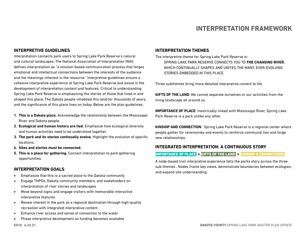# **INTERPRETATION FRAMEWORK**

## **INTERPRETIVE GUIDELINES**

Interpretation connects park users to Spring Lake Park Reserve's natural and cultural landscapes. The National Association of Interpretation (NAI) defines interpretation as "a mission-based communication process that forges emotional and intellectual connections between the interests of the audience and the meanings inherent in the resource." Interpretive guidelines ensure a cohesive interpretive experience at Spring Lake Park Reserve and assist in the development of interpretation content and features. Critical to understanding Spring Lake Park Reserve is emphasizing the stories of those that lived in and shaped this place. The Dakota people inhabited this land for thousands of years, and the significance of this place lives on today. Below are the plan guidelines:

- **1. This is a Dakota place.** Acknowledge the relationship between the Mississippi River and Dakota people.
- **2. Ecological and human history are tied.** Emphasize how ecological diversity and human activities need to be understood together.
- **3. The park and its stories continually evolve.** Highlight the evolution of specific locations.
- **4. Sites and stories must be connected.**
- **5. This is a place for gathering.** Connect interpretation to park gathering opportunities.

#### **INTERPRETATION GOALS**

- Emphasize that this is a sacred place to the Dakota community
- Engage THPOs, Dakota community members, and stakeholders on interpretation of river stories and landscapes
- Move beyond signs and engage visitors with memorable interactive interpretive features
- Renew interest in the park as a regional destination through high-quality recreation with integrated interpretive content
- Enhance river access and sense of connection to the water
- Phase interpretive development as funding becomes available

#### **INTERPRETATION THEMES**

The interpretive theme for Spring Lake Park Reserve is: SPRING LAKE PARK RESERVE CONNECTS YOU TO **THE CHANGING RIVER**, WHICH CONTINUALLY SHAPES AND UNITES THE MANY, EVER-EVOLVING STORIES EMBEDDED IN THIS PLACE.

Three subthemes bring more detailed interpretive content to life.

**GIFTS OF THE LAND**: We cannot separate ourselves or our activities from the living landscape all around us.

**IMPORTANCE OF PLACE**: Inextricably linked with Mississippi River, Spring Lake Park Reserve is a park unlike any other.

**KINSHIP AND CONNECTION**: Spring Lake Park Reserve is a regional center where people gather for ceremonies and events to reinforce communal ties and forge new relationships.

#### **INTEGRATED INTERPRETATION: A CONTINUOUS STORY**

#### IMPORTANCE OF PLACE + GIFTS OF THE LAND + KINSHIP & CONNECTIONS

A node-based trail interpretive experience tells the parks story across the three sub-themes . Nodes frame key views, demonstrate boundaries between ecologies, and expand site understanding.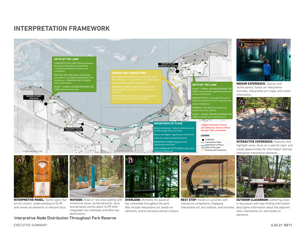## **INTERPRETATION FRAMEWORK**



**INTERPRETIVE PANEL:** *Tactile signs that enrich visitors' understanding of SLPR* 



*with hands-on elements or relevant facts. immersive views, tactile elements, facts, and personal stories about SLPR often integrated into trailheads and other key destinations.* 

**OVERLOOK:** *Moments for pause at key viewsheds throughout the park.* 

*May include interpretive art, hands-on elements, and/or personal stories of place.* 



**REST STOP:** *Hands-on activities with interactive components. Engaging interpretive art, test stations, and activities.* 



**INDOOR EXPERIENCE:** *Spaces with tactile panels, hands-on interpretive activities, interpretive art, maps, and visitor information.*



**INTERACTIVE EXPERIENCE:** *Features that highlight views, focus on a specific topic, and create opportunities for information sharing interactive interpretive elements.*



**OUTDOOR CLASSROOM:** *Gathering areas in key places with way-finding information, descriptive information about the adjacent area, interpretive art, and hands-on elements.*

Interpretive Node Distribution Throughout Park Reserve

EXECUTIVE SUMMARY **6.22.21 ES11**